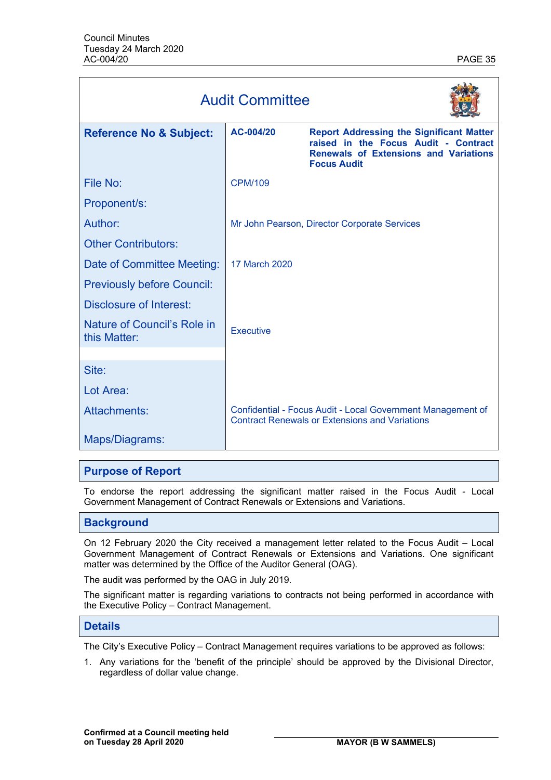| <b>Audit Committee</b>                      |                  |                                                                                                                                                               |
|---------------------------------------------|------------------|---------------------------------------------------------------------------------------------------------------------------------------------------------------|
| <b>Reference No &amp; Subject:</b>          | AC-004/20        | <b>Report Addressing the Significant Matter</b><br>raised in the Focus Audit - Contract<br><b>Renewals of Extensions and Variations</b><br><b>Focus Audit</b> |
| File No:                                    | <b>CPM/109</b>   |                                                                                                                                                               |
| Proponent/s:                                |                  |                                                                                                                                                               |
| Author:                                     |                  | Mr John Pearson, Director Corporate Services                                                                                                                  |
| <b>Other Contributors:</b>                  |                  |                                                                                                                                                               |
| Date of Committee Meeting:                  | 17 March 2020    |                                                                                                                                                               |
| <b>Previously before Council:</b>           |                  |                                                                                                                                                               |
| <b>Disclosure of Interest:</b>              |                  |                                                                                                                                                               |
| Nature of Council's Role in<br>this Matter: | <b>Executive</b> |                                                                                                                                                               |
|                                             |                  |                                                                                                                                                               |
| Site:                                       |                  |                                                                                                                                                               |
| Lot Area:                                   |                  |                                                                                                                                                               |
| Attachments:                                |                  | Confidential - Focus Audit - Local Government Management of<br><b>Contract Renewals or Extensions and Variations</b>                                          |
| Maps/Diagrams:                              |                  |                                                                                                                                                               |

# **Purpose of Report**

To endorse the report addressing the significant matter raised in the Focus Audit - Local Government Management of Contract Renewals or Extensions and Variations.

# **Background**

On 12 February 2020 the City received a management letter related to the Focus Audit – Local Government Management of Contract Renewals or Extensions and Variations. One significant matter was determined by the Office of the Auditor General (OAG).

The audit was performed by the OAG in July 2019.

The significant matter is regarding variations to contracts not being performed in accordance with the Executive Policy – Contract Management.

# **Details**

The City's Executive Policy – Contract Management requires variations to be approved as follows:

1. Any variations for the 'benefit of the principle' should be approved by the Divisional Director, regardless of dollar value change.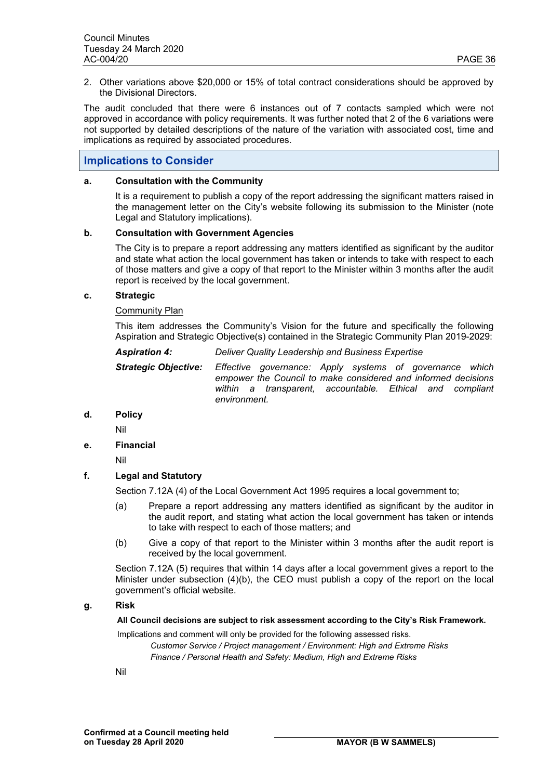2. Other variations above \$20,000 or 15% of total contract considerations should be approved by the Divisional Directors.

The audit concluded that there were 6 instances out of 7 contacts sampled which were not approved in accordance with policy requirements. It was further noted that 2 of the 6 variations were not supported by detailed descriptions of the nature of the variation with associated cost, time and implications as required by associated procedures.

# **Implications to Consider**

### **a. Consultation with the Community**

It is a requirement to publish a copy of the report addressing the significant matters raised in the management letter on the City's website following its submission to the Minister (note Legal and Statutory implications).

### **b. Consultation with Government Agencies**

The City is to prepare a report addressing any matters identified as significant by the auditor and state what action the local government has taken or intends to take with respect to each of those matters and give a copy of that report to the Minister within 3 months after the audit report is received by the local government.

### **c. Strategic**

### Community Plan

This item addresses the Community's Vision for the future and specifically the following Aspiration and Strategic Objective(s) contained in the Strategic Community Plan 2019-2029:

| <b>Aspiration 4:</b> | Deliver Quality Leadership and Business Expertise |  |
|----------------------|---------------------------------------------------|--|
|----------------------|---------------------------------------------------|--|

*Strategic Objective: Effective governance: Apply systems of governance which empower the Council to make considered and informed decisions within a transparent, accountable. Ethical and compliant environment.* 

# **d. Policy**

Nil

# **e. Financial**

Nil

# **f. Legal and Statutory**

Section 7.12A (4) of the Local Government Act 1995 requires a local government to;

- (a) Prepare a report addressing any matters identified as significant by the auditor in the audit report, and stating what action the local government has taken or intends to take with respect to each of those matters; and
- (b) Give a copy of that report to the Minister within 3 months after the audit report is received by the local government.

Section 7.12A (5) requires that within 14 days after a local government gives a report to the Minister under subsection (4)(b), the CEO must publish a copy of the report on the local government's official website.

### **g. Risk**

**All Council decisions are subject to risk assessment according to the City's Risk Framework.** 

Implications and comment will only be provided for the following assessed risks. *Customer Service / Project management / Environment: High and Extreme Risks Finance / Personal Health and Safety: Medium, High and Extreme Risks* 

Nil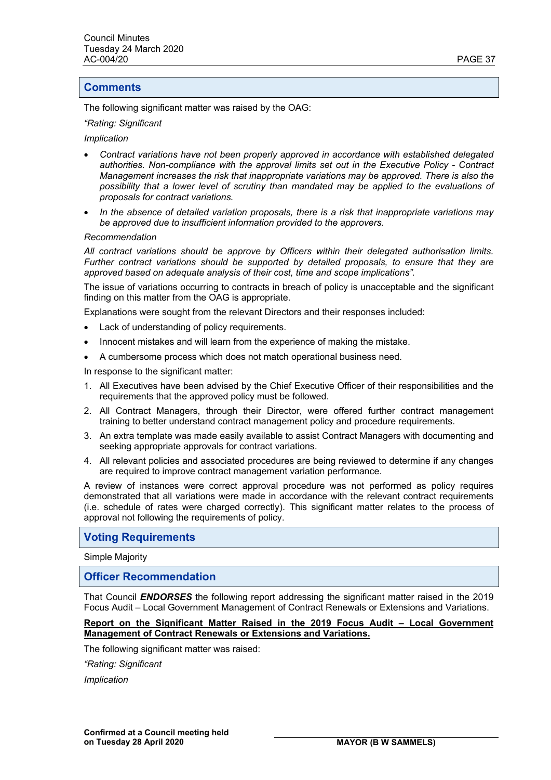# **Comments**

The following significant matter was raised by the OAG:

#### *"Rating: Significant*

### *Implication*

- *Contract variations have not been properly approved in accordance with established delegated authorities. Non-compliance with the approval limits set out in the Executive Policy - Contract Management increases the risk that inappropriate variations may be approved. There is also the possibility that a lower level of scrutiny than mandated may be applied to the evaluations of proposals for contract variations.*
- *In the absence of detailed variation proposals, there is a risk that inappropriate variations may be approved due to insufficient information provided to the approvers.*

#### *Recommendation*

*All contract variations should be approve by Officers within their delegated authorisation limits. Further contract variations should be supported by detailed proposals, to ensure that they are approved based on adequate analysis of their cost, time and scope implications".* 

The issue of variations occurring to contracts in breach of policy is unacceptable and the significant finding on this matter from the OAG is appropriate.

Explanations were sought from the relevant Directors and their responses included:

- Lack of understanding of policy requirements.
- Innocent mistakes and will learn from the experience of making the mistake.
- A cumbersome process which does not match operational business need.

In response to the significant matter:

- 1. All Executives have been advised by the Chief Executive Officer of their responsibilities and the requirements that the approved policy must be followed.
- 2. All Contract Managers, through their Director, were offered further contract management training to better understand contract management policy and procedure requirements.
- 3. An extra template was made easily available to assist Contract Managers with documenting and seeking appropriate approvals for contract variations.
- 4. All relevant policies and associated procedures are being reviewed to determine if any changes are required to improve contract management variation performance.

A review of instances were correct approval procedure was not performed as policy requires demonstrated that all variations were made in accordance with the relevant contract requirements (i.e. schedule of rates were charged correctly). This significant matter relates to the process of approval not following the requirements of policy.

# **Voting Requirements**

Simple Majority

# **Officer Recommendation**

That Council *ENDORSES* the following report addressing the significant matter raised in the 2019 Focus Audit – Local Government Management of Contract Renewals or Extensions and Variations.

### **Report on the Significant Matter Raised in the 2019 Focus Audit – Local Government Management of Contract Renewals or Extensions and Variations.**

The following significant matter was raised:

*"Rating: Significant* 

*Implication*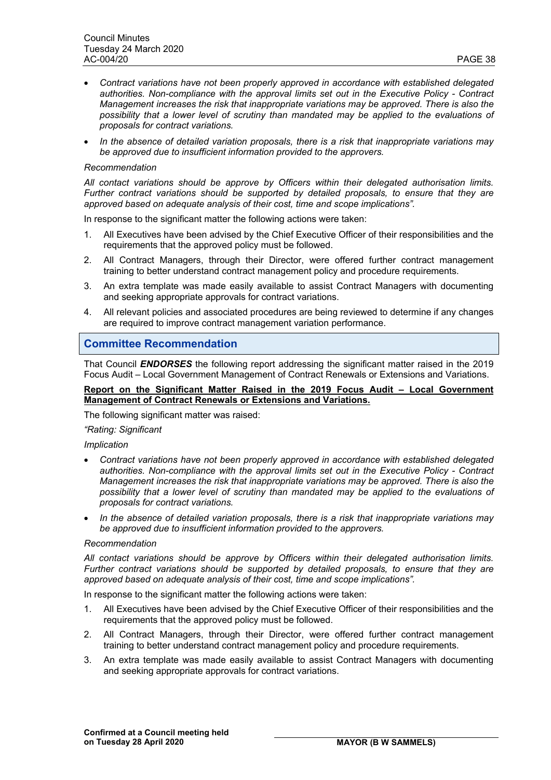- *Contract variations have not been properly approved in accordance with established delegated authorities. Non-compliance with the approval limits set out in the Executive Policy - Contract Management increases the risk that inappropriate variations may be approved. There is also the possibility that a lower level of scrutiny than mandated may be applied to the evaluations of proposals for contract variations.*
- *In the absence of detailed variation proposals, there is a risk that inappropriate variations may be approved due to insufficient information provided to the approvers.*

### *Recommendation*

*All contact variations should be approve by Officers within their delegated authorisation limits. Further contract variations should be supported by detailed proposals, to ensure that they are approved based on adequate analysis of their cost, time and scope implications".* 

In response to the significant matter the following actions were taken:

- 1. All Executives have been advised by the Chief Executive Officer of their responsibilities and the requirements that the approved policy must be followed.
- 2. All Contract Managers, through their Director, were offered further contract management training to better understand contract management policy and procedure requirements.
- 3. An extra template was made easily available to assist Contract Managers with documenting and seeking appropriate approvals for contract variations.
- 4. All relevant policies and associated procedures are being reviewed to determine if any changes are required to improve contract management variation performance.

# **Committee Recommendation**

That Council *ENDORSES* the following report addressing the significant matter raised in the 2019 Focus Audit – Local Government Management of Contract Renewals or Extensions and Variations.

### **Report on the Significant Matter Raised in the 2019 Focus Audit – Local Government Management of Contract Renewals or Extensions and Variations.**

The following significant matter was raised:

### *"Rating: Significant*

### *Implication*

- *Contract variations have not been properly approved in accordance with established delegated authorities. Non-compliance with the approval limits set out in the Executive Policy - Contract Management increases the risk that inappropriate variations may be approved. There is also the possibility that a lower level of scrutiny than mandated may be applied to the evaluations of proposals for contract variations.*
- *In the absence of detailed variation proposals, there is a risk that inappropriate variations may be approved due to insufficient information provided to the approvers.*

### *Recommendation*

*All contact variations should be approve by Officers within their delegated authorisation limits. Further contract variations should be supported by detailed proposals, to ensure that they are approved based on adequate analysis of their cost, time and scope implications".* 

In response to the significant matter the following actions were taken:

- 1. All Executives have been advised by the Chief Executive Officer of their responsibilities and the requirements that the approved policy must be followed.
- 2. All Contract Managers, through their Director, were offered further contract management training to better understand contract management policy and procedure requirements.
- 3. An extra template was made easily available to assist Contract Managers with documenting and seeking appropriate approvals for contract variations.